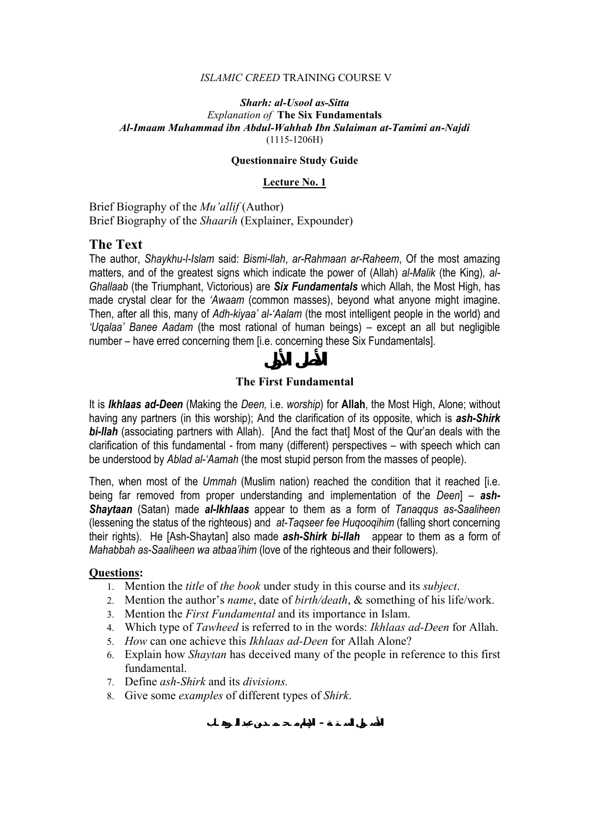## *ISLAMIC CREED* TRAINING COURSE V

## *Sharh: al-Usool as-Sitta Explanation of* **The Six Fundamentals**  *Al-Imaam Muhammad ibn Abdul-Wahhab Ibn Sulaiman at-Tamimi an-Najdi*  (1115-1206H)

## **Questionnaire Study Guide**

## **Lecture No. 1**

Brief Biography of the *Mu'allif* (Author) Brief Biography of the *Shaarih* (Explainer, Expounder)

# **The Text**

The author, *Shaykhu-l-Islam* said: *Bismi-llah*, *ar-Rahmaan ar-Raheem*, Of the most amazing matters, and of the greatest signs which indicate the power of (Allah) *al-Malik* (the King)*, al-Ghallaab* (the Triumphant, Victorious) are *Six Fundamentals* which Allah, the Most High, has made crystal clear for the *'Awaam* (common masses), beyond what anyone might imagine. Then, after all this, many of *Adh-kiyaa' al-'Aalam* (the most intelligent people in the world) and *'Uqalaa' Banee Aadam* (the most rational of human beings) – except an all but negligible number – have erred concerning them [i.e. concerning these Six Fundamentals].

# **The First Fundamental**

It is *Ikhlaas ad-Deen* (Making the *Deen,* i.e. *worship*) for **Allah**, the Most High, Alone; without having any partners (in this worship); And the clarification of its opposite, which is *ash-Shirk bi-llah* (associating partners with Allah). [And the fact that] Most of the Qur'an deals with the clarification of this fundamental - from many (different) perspectives – with speech which can be understood by *Ablad al-'Aamah* (the most stupid person from the masses of people).

Then, when most of the *Ummah* (Muslim nation) reached the condition that it reached [i.e. being far removed from proper understanding and implementation of the *Deen*] – *ash-Shaytaan* (Satan) made *al-Ikhlaas* appear to them as a form of *Tanaqqus as-Saaliheen*  (lessening the status of the righteous) and *at-Taqseer fee Huqooqihim* (falling short concerning their rights). He [Ash-Shaytan] also made *ash-Shirk bi-llah* appear to them as a form of *Mahabbah as-Saaliheen wa atbaa'ihim* (love of the righteous and their followers).

- 1. Mention the *title* of *the book* under study in this course and its *subject*.
- 2. Mention the author's *name*, date of *birth/death*, & something of his life/work.
- 3. Mention the *First Fundamental* and its importance in Islam.
- 4. Which type of *Tawheed* is referred to in the words: *Ikhlaas ad-Deen* for Allah.
- 5. *How* can one achieve this *Ikhlaas ad-Deen* for Allah Alone?
- 6. Explain how *Shaytan* has deceived many of the people in reference to this first fundamental.
- 7. Define *ash-Shirk* and its *divisions.*
- 8. Give some *examples* of different types of *Shirk*.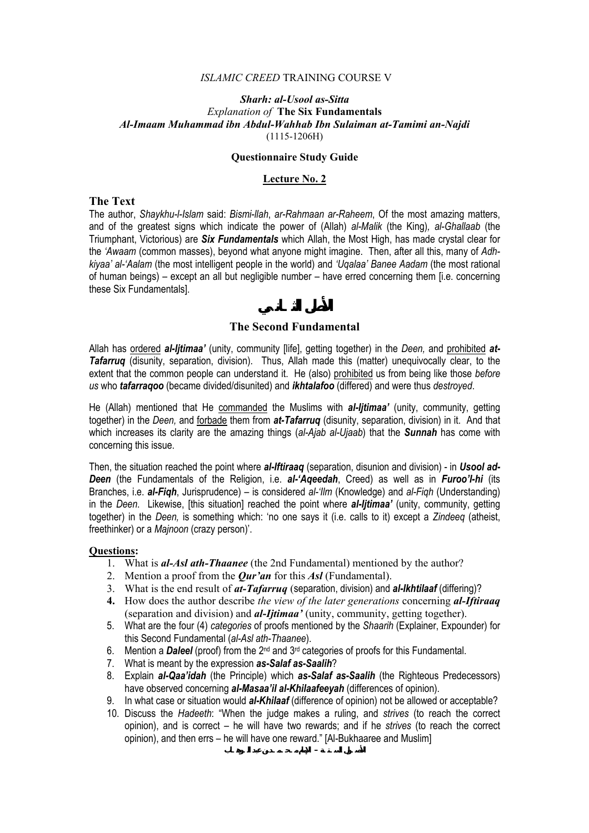### *ISLAMIC CREED* TRAINING COURSE V

## *Sharh: al-Usool as-Sitta Explanation of* **The Six Fundamentals**  *Al-Imaam Muhammad ibn Abdul-Wahhab Ibn Sulaiman at-Tamimi an-Najdi*  (1115-1206H)

## **Questionnaire Study Guide**

## **Lecture No. 2**

# **The Text**

The author, *Shaykhu-l-Islam* said: *Bismi-llah*, *ar-Rahmaan ar-Raheem*, Of the most amazing matters, and of the greatest signs which indicate the power of (Allah) *al-Malik* (the King)*, al-Ghallaab* (the Triumphant, Victorious) are *Six Fundamentals* which Allah, the Most High, has made crystal clear for the *'Awaam* (common masses), beyond what anyone might imagine. Then, after all this, many of *Adhkiyaa' al-'Aalam* (the most intelligent people in the world) and *'Uqalaa' Banee Aadam* (the most rational of human beings) – except an all but negligible number – have erred concerning them [i.e. concerning these Six Fundamentals].

## **The Second Fundamental**

Allah has ordered *al-Ijtimaa'* (unity, community [life], getting together) in the *Deen,* and prohibited *at-Tafarruq* (disunity, separation, division). Thus, Allah made this (matter) unequivocally clear, to the extent that the common people can understand it. He (also) prohibited us from being like those *before us* who *tafarraqoo* (became divided/disunited) and *ikhtalafoo* (differed) and were thus *destroyed*.

He (Allah) mentioned that He commanded the Muslims with *al-Ijtimaa'* (unity, community, getting together) in the *Deen,* and forbade them from *at-Tafarruq* (disunity, separation, division) in it. And that which increases its clarity are the amazing things (*al-Ajab al-Ujaab*) that the *Sunnah* has come with concerning this issue.

Then, the situation reached the point where *al-Iftiraaq* (separation, disunion and division) - in *Usool ad-Deen* (the Fundamentals of the Religion, i.e. *al-'Aqeedah*, Creed) as well as in *Furoo'I-hi* (its Branches, i.e. *al-Fiqh*, Jurisprudence) – is considered *al-'Ilm* (Knowledge) and *al-Fiqh* (Understanding) in the *Deen*. Likewise, [this situation] reached the point where *al-Ijtimaa'* (unity, community, getting together) in the *Deen,* is something which: 'no one says it (i.e. calls to it) except a *Zindeeq* (atheist, freethinker) or a *Majnoon* (crazy person)'.

## **Questions:**

- 1. What is *al-Asl ath-Thaanee* (the 2nd Fundamental) mentioned by the author?
- 2. Mention a proof from the *Qur'an* for this *Asl* (Fundamental).
- 3. What is the end result of *at-Tafarruq* (separation, division) and *al-Ikhtilaaf* (differing)?
- **4.** How does the author describe *the view of the later generations* concerning *al-Iftiraaq* (separation and division) and *al***-***Ijtimaa'* (unity, community, getting together).
- 5. What are the four (4) *categories* of proofs mentioned by the *Shaarih* (Explainer, Expounder) for this Second Fundamental (*al-Asl ath-Thaanee*).
- 6. Mention a *Daleel* (proof) from the 2nd and 3rd categories of proofs for this Fundamental.
- 7. What is meant by the expression *as-Salaf as-Saalih*?
- 8. Explain *al-Qaa'idah* (the Principle) which *as-Salaf as-Saalih* (the Righteous Predecessors) have observed concerning *al-Masaa'il al-Khilaafeeyah* (differences of opinion).
- 9. In what case or situation would *al-Khilaaf* (difference of opinion) not be allowed or acceptable?
- 10. Discuss the *Hadeeth*: "When the judge makes a ruling, and *strives* (to reach the correct opinion), and is correct – he will have two rewards; and if he *strives* (to reach the correct opinion), and then errs – he will have one reward." [Al-Bukhaaree and Muslim]

**الـوهـاب عبد بن مـحـمـد الإمام – السـتـة الأصـول**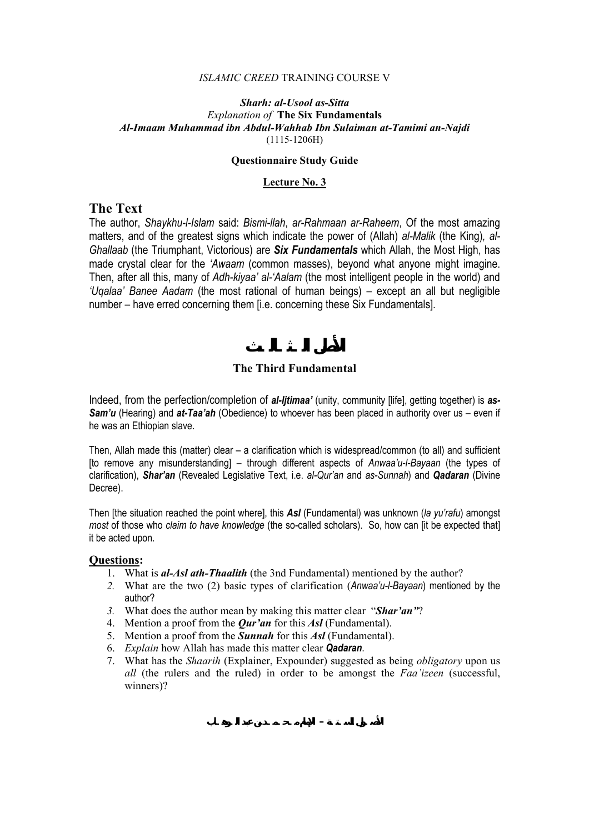### *ISLAMIC CREED* TRAINING COURSE V

## *Sharh: al-Usool as-Sitta Explanation of* **The Six Fundamentals**  *Al-Imaam Muhammad ibn Abdul-Wahhab Ibn Sulaiman at-Tamimi an-Najdi*  (1115-1206H)

### **Questionnaire Study Guide**

## **Lecture No. 3**

# **The Text**

The author, *Shaykhu-l-Islam* said: *Bismi-llah*, *ar-Rahmaan ar-Raheem*, Of the most amazing matters, and of the greatest signs which indicate the power of (Allah) *al-Malik* (the King)*, al-Ghallaab* (the Triumphant, Victorious) are *Six Fundamentals* which Allah, the Most High, has made crystal clear for the *'Awaam* (common masses), beyond what anyone might imagine. Then, after all this, many of *Adh-kiyaa' al-'Aalam* (the most intelligent people in the world) and *'Uqalaa' Banee Aadam* (the most rational of human beings) – except an all but negligible number – have erred concerning them [i.e. concerning these Six Fundamentals].

# **The Third Fundamental**

Indeed, from the perfection/completion of *al-Ijtimaa'* (unity, community [life], getting together) is *as-Sam'u* (Hearing) and *at-Taa'ah* (Obedience) to whoever has been placed in authority over us – even if he was an Ethiopian slave.

Then, Allah made this (matter) clear – a clarification which is widespread/common (to all) and sufficient [to remove any misunderstanding] – through different aspects of *Anwaa'u-l-Bayaan* (the types of clarification), *Shar'an* (Revealed Legislative Text, i.e. *al-Qur'an* and *as-Sunnah*) and *Qadaran* (Divine Decree).

Then [the situation reached the point where], this *Asl* (Fundamental) was unknown (*la yu'rafu*) amongst *most* of those who *claim to have knowledge* (the so-called scholars). So, how can [it be expected that] it be acted upon.

- 1. What is *al-Asl ath-Thaalith* (the 3nd Fundamental) mentioned by the author?
- *2.* What are the two (2) basic types of clarification (*Anwaa'u-l-Bayaan*) mentioned by the author?
- *3.* What does the author mean by making this matter clear "*Shar'an"*?
- 4. Mention a proof from the *Qur'an* for this *Asl* (Fundamental).
- 5. Mention a proof from the *Sunnah* for this *Asl* (Fundamental).
- 6. *Explain* how Allah has made this matter clear *Qadaran*.
- 7. What has the *Shaarih* (Explainer, Expounder) suggested as being *obligatory* upon us *all* (the rulers and the ruled) in order to be amongst the *Faa'izeen* (successful, winners)?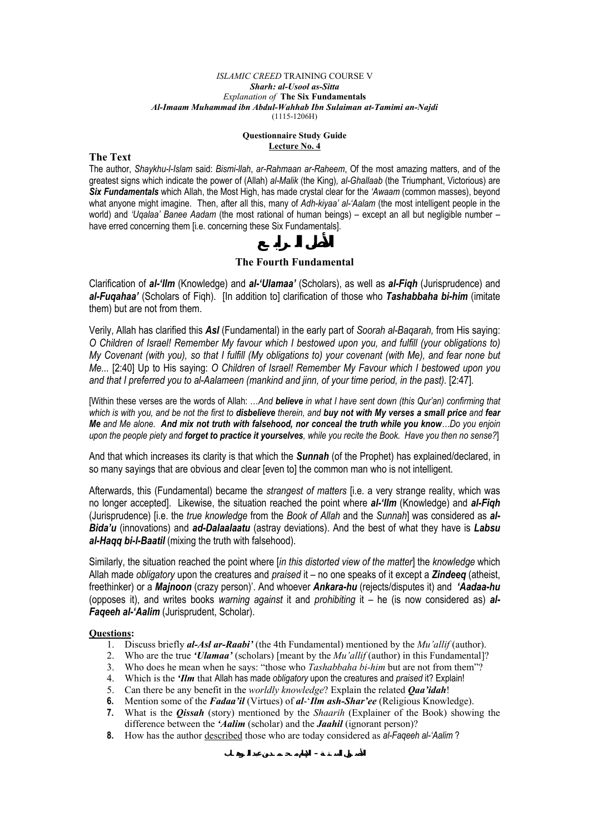#### *ISLAMIC CREED* TRAINING COURSE V *Sharh: al-Usool as-Sitta Explanation of* **The Six Fundamentals**  *Al-Imaam Muhammad ibn Abdul-Wahhab Ibn Sulaiman at-Tamimi an-Najdi*  (1115-1206H)

### **Questionnaire Study Guide Lecture No. 4**

### **The Text**

The author, *Shaykhu-l-Islam* said: *Bismi-llah*, *ar-Rahmaan ar-Raheem*, Of the most amazing matters, and of the greatest signs which indicate the power of (Allah) *al-Malik* (the King)*, al-Ghallaab* (the Triumphant, Victorious) are *Six Fundamentals* which Allah, the Most High, has made crystal clear for the *'Awaam* (common masses), beyond what anyone might imagine. Then, after all this, many of *Adh-kiyaa' al-'Aalam* (the most intelligent people in the world) and *'Uqalaa' Banee Aadam* (the most rational of human beings) – except an all but negligible number – have erred concerning them [i.e. concerning these Six Fundamentals].

## **The Fourth Fundamental**

Clarification of *al-'Ilm* (Knowledge) and *al-'Ulamaa'* (Scholars), as well as *al-Fiqh* (Jurisprudence) and *al-Fuqahaa'* (Scholars of Fiqh). [In addition to] clarification of those who *Tashabbaha bi-him* (imitate them) but are not from them.

Verily, Allah has clarified this *Asl* (Fundamental) in the early part of *Soorah al-Baqarah,* from His saying: *O Children of Israel! Remember My favour which I bestowed upon you, and fulfill (your obligations to) My Covenant (with you), so that I fulfill (My obligations to) your covenant (with Me), and fear none but Me...* [2:40] Up to His saying: *O Children of Israel! Remember My Favour which I bestowed upon you and that I preferred you to al-Aalameen (mankind and jinn, of your time period, in the past).* [2:47].

[Within these verses are the words of Allah: …*And believe in what I have sent down (this Qur'an) confirming that which is with you, and be not the first to disbelieve therein, and buy not with My verses a small price and fear Me and Me alone. And mix not truth with falsehood, nor conceal the truth while you know…Do you enjoin upon the people piety and forget to practice it yourselves, while you recite the Book. Have you then no sense?*]

And that which increases its clarity is that which the *Sunnah* (of the Prophet) has explained/declared, in so many sayings that are obvious and clear [even to] the common man who is not intelligent.

Afterwards, this (Fundamental) became the *strangest of matters* [i.e. a very strange reality, which was no longer accepted]. Likewise, the situation reached the point where *al-'Ilm* (Knowledge) and *al-Fiqh* (Jurisprudence) [i.e. the *true knowledge* from the *Book of Allah* and the *Sunnah*] was considered as *al-Bida'u* (innovations) and *ad-Dalaalaatu* (astray deviations). And the best of what they have is *Labsu al-Haqq bi-l-Baatil* (mixing the truth with falsehood).

Similarly, the situation reached the point where [*in this distorted view of the matter*] the *knowledge* which Allah made *obligatory* upon the creatures and *praised* it – no one speaks of it except a *Zindeeq* (atheist, freethinker) or a *Majnoon* (crazy person)'. And whoever *Ankara-hu* (rejects/disputes it) and *'Aadaa-hu*  (opposes it), and writes books *warning against* it and *prohibiting* it – he (is now considered as) *al-Faqeeh al-'Aalim* (Jurisprudent, Scholar).

- 1. Discuss briefly *al-Asl ar-Raabi'* (the 4th Fundamental) mentioned by the *Mu'allif* (author).
- 2. Who are the true *'Ulamaa'* (scholars) [meant by the *Mu'allif* (author) in this Fundamental]?
- 3. Who does he mean when he says: "those who *Tashabbaha bi-him* but are not from them"?
- 4. Which is the *'Ilm* that Allah has made *obligatory* upon the creatures and *praised* it? Explain!
- 5. Can there be any benefit in the *worldly knowledge*? Explain the related *Qaa'idah*!
- **6.** Mention some of the *Fadaa'il* (Virtues) of *al*-'*Ilm ash-Shar'ee* (Religious Knowledge).
- **7.** What is the *Qissah* (story) mentioned by the *Shaarih* (Explainer of the Book) showing the difference between the *'Aalim* (scholar) and the *Jaahil* (ignorant person)?
- **8.** How has the author described those who are today considered as *al-Faqeeh al-'Aalim* ?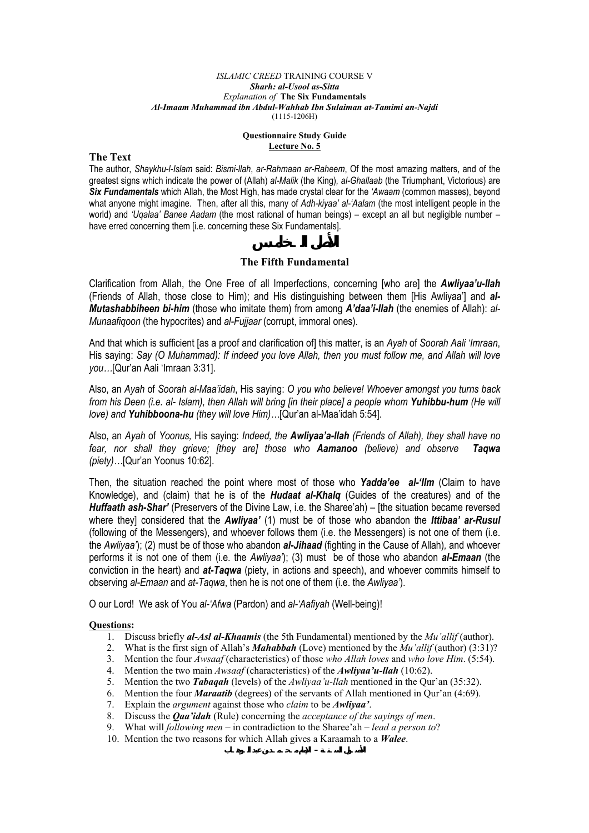#### *ISLAMIC CREED* TRAINING COURSE V *Sharh: al-Usool as-Sitta Explanation of* **The Six Fundamentals**  *Al-Imaam Muhammad ibn Abdul-Wahhab Ibn Sulaiman at-Tamimi an-Najdi*  (1115-1206H)

### **Questionnaire Study Guide Lecture No. 5**

### **The Text**

The author, *Shaykhu-l-Islam* said: *Bismi-llah*, *ar-Rahmaan ar-Raheem*, Of the most amazing matters, and of the greatest signs which indicate the power of (Allah) *al-Malik* (the King)*, al-Ghallaab* (the Triumphant, Victorious) are *Six Fundamentals* which Allah, the Most High, has made crystal clear for the *'Awaam* (common masses), beyond what anyone might imagine. Then, after all this, many of *Adh-kiyaa' al-'Aalam* (the most intelligent people in the world) and *'Uqalaa' Banee Aadam* (the most rational of human beings) – except an all but negligible number – have erred concerning them [i.e. concerning these Six Fundamentals].

## **The Fifth Fundamental**

Clarification from Allah, the One Free of all Imperfections, concerning [who are] the *Awliyaa'u-llah* (Friends of Allah, those close to Him); and His distinguishing between them [His Awliyaa'] and *al-Mutashabbiheen bi-him* (those who imitate them) from among *A'daa'i-llah* (the enemies of Allah): *al-Munaafiqoon* (the hypocrites) and *al-Fujjaar* (corrupt, immoral ones).

And that which is sufficient [as a proof and clarification of] this matter, is an *Ayah* of *Soorah Aali 'Imraan*, His saying: *Say (O Muhammad): If indeed you love Allah, then you must follow me, and Allah will love you…*[Qur'an Aali 'Imraan 3:31].

Also, an *Ayah* of *Soorah al-Maa'idah*, His saying: *O you who believe! Whoever amongst you turns back from his Deen (i.e. al- Islam), then Allah will bring [in their place] a people whom Yuhibbu-hum (He will love) and Yuhibboona-hu (they will love Him)…*[Qur'an al-Maa'idah 5:54].

Also, an *Ayah* of *Yoonus,* His saying: *Indeed, the Awliyaa'a-llah (Friends of Allah), they shall have no fear, nor shall they grieve; [they are] those who Aamanoo (believe) and observe Taqwa (piety)…*[Qur'an Yoonus 10:62].

Then, the situation reached the point where most of those who *Yadda'ee al-'Ilm* (Claim to have Knowledge), and (claim) that he is of the *Hudaat al-Khalq* (Guides of the creatures) and of the *Huffaath ash-Shar'* (Preservers of the Divine Law, i.e. the Sharee'ah) – [the situation became reversed where they] considered that the *Awliyaa'* (1) must be of those who abandon the *Ittibaa' ar-Rusul*  (following of the Messengers), and whoever follows them (i.e. the Messengers) is not one of them (i.e. the *Awliyaa'*); (2) must be of those who abandon *al-Jihaad* (fighting in the Cause of Allah)*,* and whoever performs it is not one of them (i.e. the *Awliyaa'*); (3) must be of those who abandon *al-Emaan* (the conviction in the heart) and *at-Taqwa* (piety, in actions and speech), and whoever commits himself to observing *al-Emaan* and *at-Taqwa*, then he is not one of them (i.e. the *Awliyaa'*).

O our Lord! We ask of You *al-'Afwa* (Pardon) and *al-'Aafiyah* (Well-being)!

#### **Questions:**

- 1. Discuss briefly *al-Asl al-Khaamis* (the 5th Fundamental) mentioned by the *Mu'allif* (author).
- 2. What is the first sign of Allah's *Mahabbah* (Love) mentioned by the *Mu'allif* (author) (3:31)?
- 3. Mention the four *Awsaaf* (characteristics) of those *who Allah loves* and *who love Him*. (5:54).
- 4. Mention the two main *Awsaaf* (characteristics) of the *Awliyaa'u-llah* (10:62).<br>5. Mention the two *Tabagah* (levels) of the *Awliyaa'u-llah* mentioned in the Our
- 5. Mention the two *Tabaqah* (levels) of the *Awliyaa'u-llah* mentioned in the Qur'an (35:32).<br>6. Mention the four *Maraatib* (degrees) of the servants of Allah mentioned in Our'an (4:69).
- Mention the four *Maraatib* (degrees) of the servants of Allah mentioned in Qur'an (4:69).
- 7. Explain the *argument* against those who *claim* to be *Awliyaa'*.
- 8. Discuss the *Qaa'idah* (Rule) concerning the *acceptance of the sayings of men*.
- 9. What will *following men* in contradiction to the Sharee'ah *lead a person to*?
- 10. Mention the two reasons for which Allah gives a Karaamah to a *Walee*.

**الأصـول السـتـة – الإمام مـحـمـد بن عبد الـوهـاب**